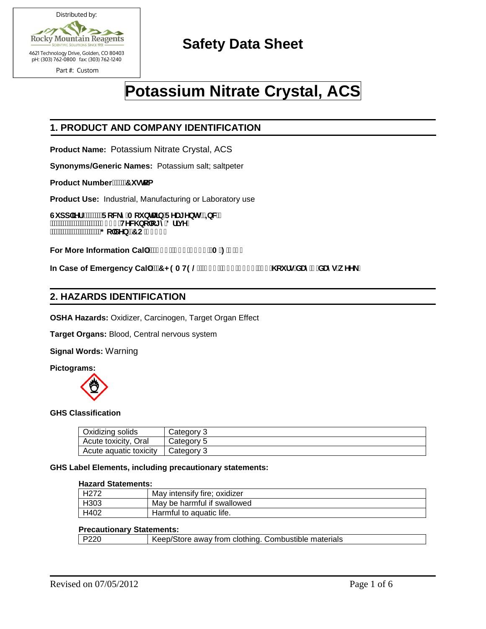

# **Safety Data Sheet**

# **Potassium Nitrate Crystal, ACS**

# **1. PRODUCT AND COMPANY IDENTIFICATION**

**Product Name:** Potassium Nitrate Crystal, ACS

**Synonyms/Generic Names:** Potassium salt; saltpeter

**Product Number.** ""7i ghca

**Product Use:** Industrial, Manufacturing or Laboratory use

Gi dd`]Yf.<sup>………</sup>FcW\_mAci bHJ]b`FYU[Ybhgž=bW' **7HFKQRORJ\'ULYH \*ROGHQ&2** j

For More Information Cal`. "fl \$' Ł+\* &\$, \$\$'fA!: ', !) Ł

In Case of Emergency Cal`. "7<9AH9@'f| \$\$Ł&) ) !' - & 'f&('\ci fg#XUm+'XUng#k YY\_Ł

#### **2. HAZARDS IDENTIFICATION**

**OSHA Hazards:** Oxidizer, Carcinogen, Target Organ Effect

**Target Organs:** Blood, Central nervous system

**Signal Words:** Warning

**Pictograms:** 



#### **GHS Classification**

| Oxidizing solids       | Category 3   |
|------------------------|--------------|
| Acute toxicity, Oral   | Category 5   |
| Acute aquatic toxicity | l Category 3 |

#### **GHS Label Elements, including precautionary statements:**

## **Hazard Statements:**

| H <sub>272</sub> | May intensify fire; oxidizer |  |
|------------------|------------------------------|--|
| H303             | May be harmful if swallowed  |  |
| H402             | Harmful to aquatic life.     |  |

#### **Precautionary Statements:**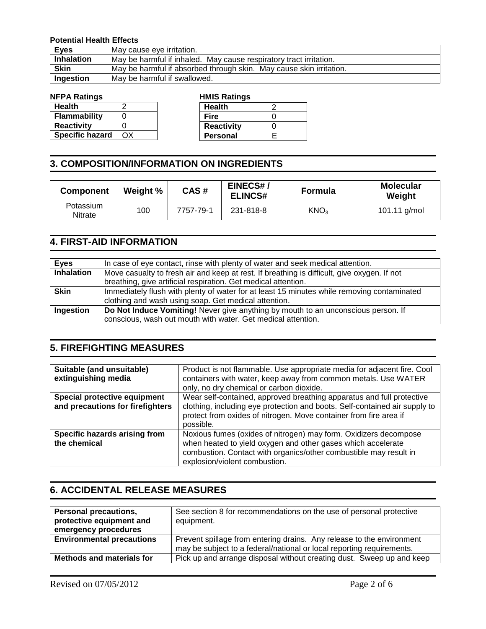#### **Potential Health Effects**

| <b>Eyes</b>       | May cause eye irritation.                                           |  |
|-------------------|---------------------------------------------------------------------|--|
| <b>Inhalation</b> | May be harmful if inhaled. May cause respiratory tract irritation.  |  |
| <b>Skin</b>       | May be harmful if absorbed through skin. May cause skin irritation. |  |
| Ingestion         | May be harmful if swallowed.                                        |  |

| <b>Health</b>          |    |
|------------------------|----|
| Flammability           | O  |
| <b>Reactivity</b>      |    |
| <b>Specific hazard</b> | ΩX |

#### **NFPA Ratings HMIS Ratings Health** 2

# **3. COMPOSITION/INFORMATION ON INGREDIENTS**

| <b>Component</b>            | Weight % | CAS#      | EINECS#/<br><b>ELINCS#</b> | <b>Formula</b>   | <b>Molecular</b><br>Weight |
|-----------------------------|----------|-----------|----------------------------|------------------|----------------------------|
| Potassium<br><b>Nitrate</b> | 100      | 7757-79-1 | 231-818-8                  | KNO <sub>3</sub> | 101.11 g/mol               |

 $\overline{a}$ 

# **4. FIRST-AID INFORMATION**

| <b>Eyes</b>       | In case of eye contact, rinse with plenty of water and seek medical attention.              |  |
|-------------------|---------------------------------------------------------------------------------------------|--|
| <b>Inhalation</b> | Move casualty to fresh air and keep at rest. If breathing is difficult, give oxygen. If not |  |
|                   | breathing, give artificial respiration. Get medical attention.                              |  |
| <b>Skin</b>       | Immediately flush with plenty of water for at least 15 minutes while removing contaminated  |  |
|                   | clothing and wash using soap. Get medical attention.                                        |  |
| Ingestion         | Do Not Induce Vomiting! Never give anything by mouth to an unconscious person. If           |  |
|                   | conscious, wash out mouth with water. Get medical attention.                                |  |

### **5. FIREFIGHTING MEASURES**

| Suitable (and unsuitable)<br>extinguishing media                 | Product is not flammable. Use appropriate media for adjacent fire. Cool<br>containers with water, keep away from common metals. Use WATER<br>only, no dry chemical or carbon dioxide.                                                  |
|------------------------------------------------------------------|----------------------------------------------------------------------------------------------------------------------------------------------------------------------------------------------------------------------------------------|
| Special protective equipment<br>and precautions for firefighters | Wear self-contained, approved breathing apparatus and full protective<br>clothing, including eye protection and boots. Self-contained air supply to<br>protect from oxides of nitrogen. Move container from fire area if<br>possible.  |
| Specific hazards arising from<br>the chemical                    | Noxious fumes (oxides of nitrogen) may form. Oxidizers decompose<br>when heated to yield oxygen and other gases which accelerate<br>combustion. Contact with organics/other combustible may result in<br>explosion/violent combustion. |

### **6. ACCIDENTAL RELEASE MEASURES**

| <b>Personal precautions,</b><br>protective equipment and<br>emergency procedures | See section 8 for recommendations on the use of personal protective<br>equipment. |
|----------------------------------------------------------------------------------|-----------------------------------------------------------------------------------|
| <b>Environmental precautions</b>                                                 | Prevent spillage from entering drains. Any release to the environment             |
|                                                                                  | may be subject to a federal/national or local reporting requirements.             |
| <b>Methods and materials for</b>                                                 | Pick up and arrange disposal without creating dust. Sweep up and keep             |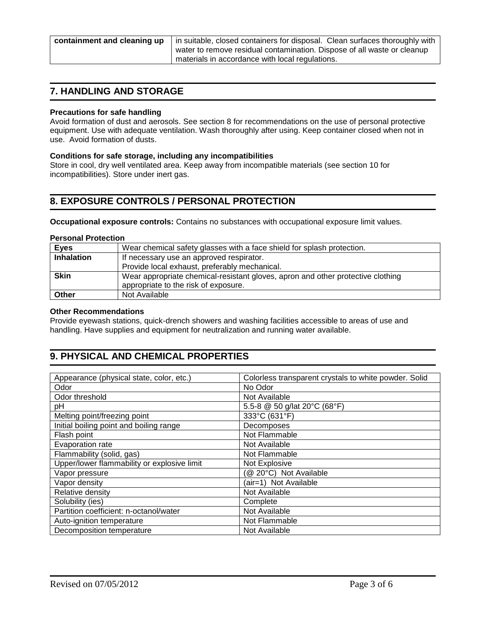| containment and cleaning up $ $ in |  |
|------------------------------------|--|
|                                    |  |

suitable, closed containers for disposal. Clean surfaces thoroughly with water to remove residual contamination. Dispose of all waste or cleanup materials in accordance with local regulations.

# **7. HANDLING AND STORAGE**

#### **Precautions for safe handling**

Avoid formation of dust and aerosols. See section 8 for recommendations on the use of personal protective equipment. Use with adequate ventilation. Wash thoroughly after using. Keep container closed when not in use. Avoid formation of dusts.

#### **Conditions for safe storage, including any incompatibilities**

Store in cool, dry well ventilated area. Keep away from incompatible materials (see section 10 for incompatibilities). Store under inert gas.

## **8. EXPOSURE CONTROLS / PERSONAL PROTECTION**

**Occupational exposure controls:** Contains no substances with occupational exposure limit values.

#### **Personal Protection**

| <b>Eyes</b>       | Wear chemical safety glasses with a face shield for splash protection.          |  |
|-------------------|---------------------------------------------------------------------------------|--|
| <b>Inhalation</b> | If necessary use an approved respirator.                                        |  |
|                   | Provide local exhaust, preferably mechanical.                                   |  |
| <b>Skin</b>       | Wear appropriate chemical-resistant gloves, apron and other protective clothing |  |
|                   | appropriate to the risk of exposure.                                            |  |
| Other             | Not Available                                                                   |  |

#### **Other Recommendations**

Provide eyewash stations, quick-drench showers and washing facilities accessible to areas of use and handling. Have supplies and equipment for neutralization and running water available.

# **9. PHYSICAL AND CHEMICAL PROPERTIES**

| Appearance (physical state, color, etc.)    | Colorless transparent crystals to white powder. Solid |  |
|---------------------------------------------|-------------------------------------------------------|--|
| No Odor<br>Odor                             |                                                       |  |
| Odor threshold                              | Not Available                                         |  |
| pH                                          | 5.5-8 @ 50 g/lat 20°C (68°F)                          |  |
| Melting point/freezing point                | 333°C (631°F)                                         |  |
| Initial boiling point and boiling range     | Decomposes                                            |  |
| Flash point                                 | Not Flammable                                         |  |
| Evaporation rate                            | Not Available                                         |  |
| Flammability (solid, gas)                   | Not Flammable                                         |  |
| Upper/lower flammability or explosive limit | Not Explosive                                         |  |
| @ 20°C) Not Available<br>Vapor pressure     |                                                       |  |
| Vapor density                               | (air=1) Not Available                                 |  |
| Relative density                            | Not Available                                         |  |
| Solubility (ies)                            | Complete                                              |  |
| Partition coefficient: n-octanol/water      | Not Available                                         |  |
| Auto-ignition temperature                   | Not Flammable                                         |  |
| Decomposition temperature                   | Not Available                                         |  |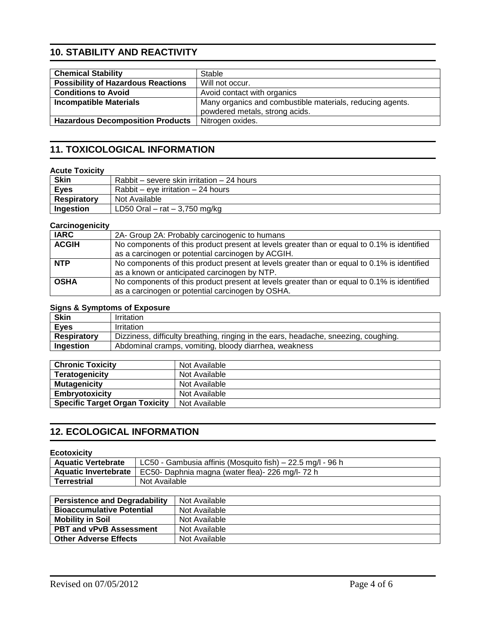# **10. STABILITY AND REACTIVITY**

| <b>Chemical Stability</b>                 | Stable                                                    |  |
|-------------------------------------------|-----------------------------------------------------------|--|
| <b>Possibility of Hazardous Reactions</b> | Will not occur.                                           |  |
|                                           |                                                           |  |
| <b>Conditions to Avoid</b>                | Avoid contact with organics                               |  |
| <b>Incompatible Materials</b>             | Many organics and combustible materials, reducing agents. |  |
|                                           | powdered metals, strong acids.                            |  |
| <b>Hazardous Decomposition Products</b>   | Nitrogen oxides.                                          |  |

# **11. TOXICOLOGICAL INFORMATION**

#### **Acute Toxicity**

| <b>Skin</b>        | Rabbit – severe skin irritation – 24 hours |
|--------------------|--------------------------------------------|
| <b>Eyes</b>        | Rabbit – eve irritation – 24 hours         |
| <b>Respiratory</b> | Not Available                              |
| Ingestion          | LD50 Oral $-$ rat $-$ 3,750 mg/kg          |

#### **Carcinogenicity**

| <b>IARC</b>  | 2A- Group 2A: Probably carcinogenic to humans                                                                                                    |
|--------------|--------------------------------------------------------------------------------------------------------------------------------------------------|
| <b>ACGIH</b> | No components of this product present at levels greater than or equal to 0.1% is identified<br>as a carcinogen or potential carcinogen by ACGIH. |
| <b>NTP</b>   | No components of this product present at levels greater than or equal to 0.1% is identified<br>as a known or anticipated carcinogen by NTP.      |
| <b>OSHA</b>  | No components of this product present at levels greater than or equal to 0.1% is identified<br>as a carcinogen or potential carcinogen by OSHA.  |

#### **Signs & Symptoms of Exposure**

| <b>Skin</b>        | Irritation                                                                          |
|--------------------|-------------------------------------------------------------------------------------|
| <b>Eyes</b>        | <b>Irritation</b>                                                                   |
| <b>Respiratory</b> | Dizziness, difficulty breathing, ringing in the ears, headache, sneezing, coughing. |
| Ingestion          | Abdominal cramps, vomiting, bloody diarrhea, weakness                               |

| <b>Chronic Toxicity</b>               | Not Available |
|---------------------------------------|---------------|
| <b>Teratogenicity</b>                 | Not Available |
| <b>Mutagenicity</b>                   | Not Available |
| Embryotoxicity                        | Not Available |
| <b>Specific Target Organ Toxicity</b> | Not Available |

# **12. ECOLOGICAL INFORMATION**

#### **Ecotoxicity**

| <b>Aquatic Vertebrate</b> | LC50 - Gambusia affinis (Mosquito fish) – 22.5 mg/l - 96 h             |
|---------------------------|------------------------------------------------------------------------|
|                           | Aquatic Invertebrate   EC50- Daphnia magna (water flea)- 226 mg/l-72 h |
| Terrestrial               | Not Available                                                          |

| <b>Persistence and Degradability</b> | Not Available |
|--------------------------------------|---------------|
| <b>Bioaccumulative Potential</b>     | Not Available |
| <b>Mobility in Soil</b>              | Not Available |
| <b>PBT and vPvB Assessment</b>       | Not Available |
| <b>Other Adverse Effects</b>         | Not Available |